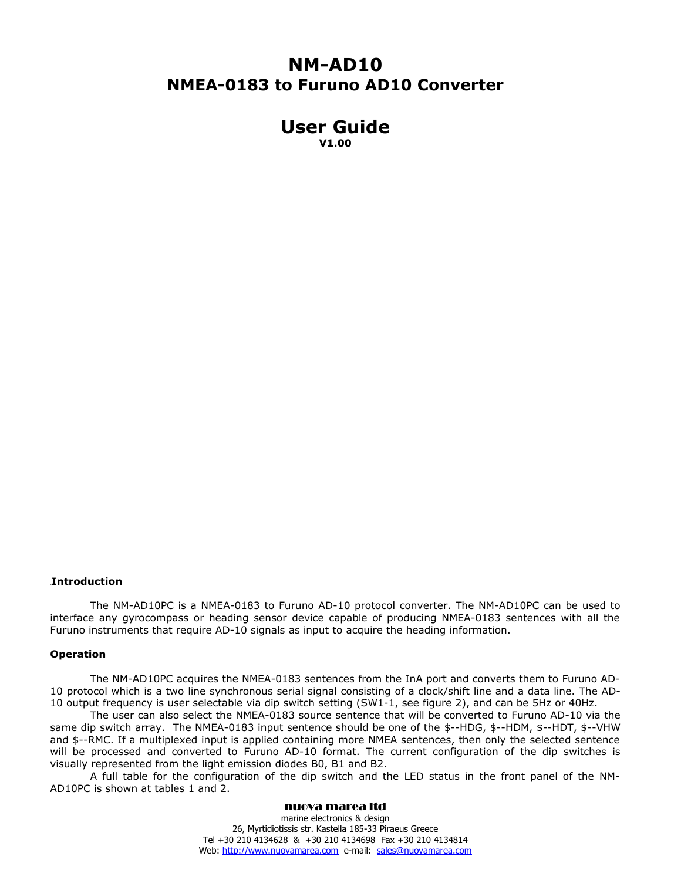# **NM-AD10 NMEA-0183 to Furuno AD10 Converter**

# **User Guide V1.00**

# **Introduction**

The NM-AD10PC is a NMEA-0183 to Furuno AD-10 protocol converter. The NM-AD10PC can be used to interface any gyrocompass or heading sensor device capable of producing NMEA-0183 sentences with all the Furuno instruments that require AD-10 signals as input to acquire the heading information.

#### **Operation**

The NM-AD10PC acquires the NMEA-0183 sentences from the InA port and converts them to Furuno AD-10 protocol which is a two line synchronous serial signal consisting of a clock/shift line and a data line. The AD-10 output frequency is user selectable via dip switch setting (SW1-1, see figure 2), and can be 5Hz or 40Hz.

The user can also select the NMEA-0183 source sentence that will be converted to Furuno AD-10 via the same dip switch array. The NMEA-0183 input sentence should be one of the \$--HDG, \$--HDM, \$--HDT, \$--VHW and \$--RMC. If a multiplexed input is applied containing more NMEA sentences, then only the selected sentence will be processed and converted to Furuno AD-10 format. The current configuration of the dip switches is visually represented from the light emission diodes B0, B1 and B2.

A full table for the configuration of the dip switch and the LED status in the front panel of the NM-AD10PC is shown at tables 1 and 2.

#### nuova marea ltd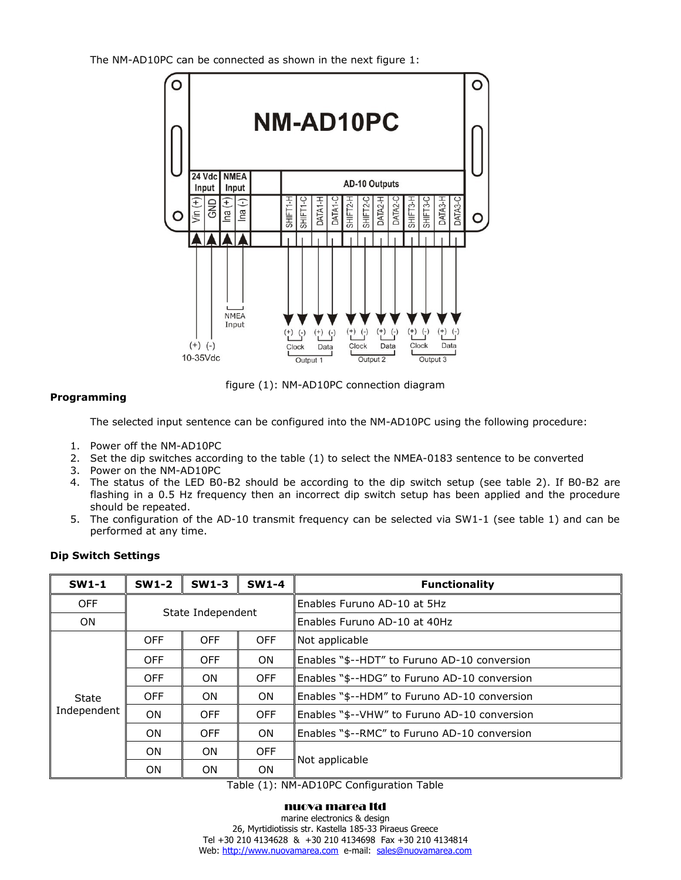The NM-AD10PC can be connected as shown in the next figure 1:



figure (1): NM-AD10PC connection diagram

# **Programming**

The selected input sentence can be configured into the NM-AD10PC using the following procedure:

- 1. Power off the NM-AD10PC
- 2. Set the dip switches according to the table (1) to select the NMEA-0183 sentence to be converted
- 3. Power on the NM-AD10PC
- 4. The status of the LED B0-B2 should be according to the dip switch setup (see table 2). If B0-B2 are flashing in a 0.5 Hz frequency then an incorrect dip switch setup has been applied and the procedure should be repeated.
- 5. The configuration of the AD-10 transmit frequency can be selected via SW1-1 (see table 1) and can be performed at any time.

| $SW1-1$              | $SW1-2$           | $SW1-3$    | $SW1-4$    | <b>Functionality</b>                         |
|----------------------|-------------------|------------|------------|----------------------------------------------|
| <b>OFF</b>           | State Independent |            |            | Enables Furuno AD-10 at 5Hz                  |
| <b>ON</b>            |                   |            |            | Enables Furuno AD-10 at 40Hz                 |
| State<br>Independent | <b>OFF</b>        | <b>OFF</b> | <b>OFF</b> | Not applicable                               |
|                      | <b>OFF</b>        | <b>OFF</b> | ON.        | Enables "\$--HDT" to Furuno AD-10 conversion |
|                      | <b>OFF</b>        | ON.        | <b>OFF</b> | Enables "\$--HDG" to Furuno AD-10 conversion |
|                      | <b>OFF</b>        | ON.        | ON.        | Enables "\$--HDM" to Furuno AD-10 conversion |
|                      | 0N                | <b>OFF</b> | <b>OFF</b> | Enables "\$--VHW" to Furuno AD-10 conversion |
|                      | ON.               | <b>OFF</b> | ON.        | Enables "\$--RMC" to Furuno AD-10 conversion |
|                      | <b>ON</b>         | ON.        | <b>OFF</b> | Not applicable                               |
|                      | ΟN                | 0N         | <b>ON</b>  |                                              |

# **Dip Switch Settings**

Table (1): NM-AD10PC Configuration Table

#### nuova marea ltd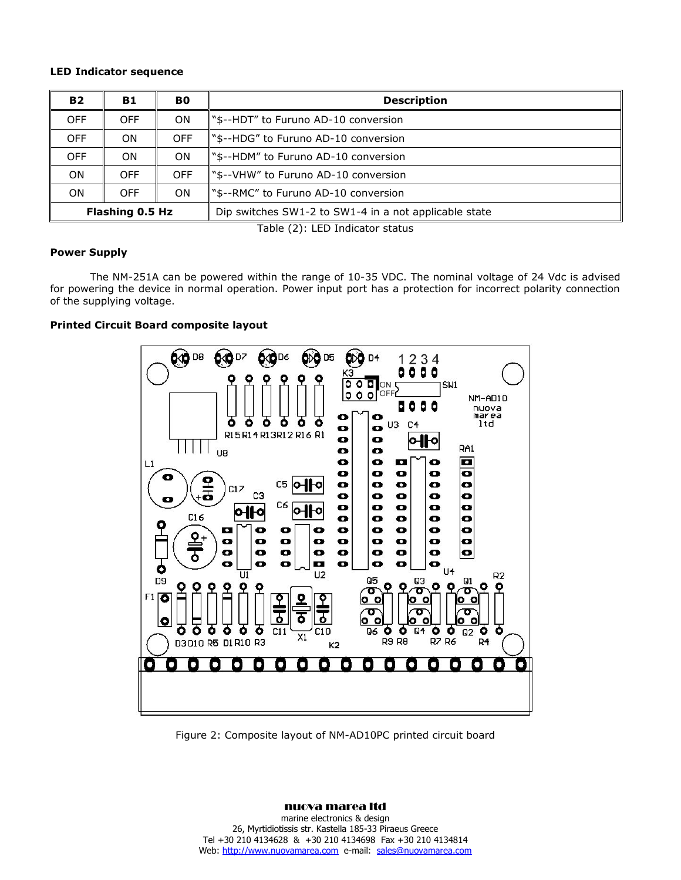## **LED Indicator sequence**

| <b>B2</b>              | B1         | B0         | <b>Description</b>                                    |  |
|------------------------|------------|------------|-------------------------------------------------------|--|
| <b>OFF</b>             | <b>OFF</b> | ON.        | "\$--HDT" to Furuno AD-10 conversion                  |  |
| <b>OFF</b>             | ON         | <b>OFF</b> | "\$--HDG" to Furuno AD-10 conversion                  |  |
| <b>OFF</b>             | ON         | ON.        | \"\$--HDM" to Furuno AD-10 conversion                 |  |
| ON.                    | <b>OFF</b> | <b>OFF</b> | s--VHW" to Furuno AD-10 conversion™                   |  |
| ΟN                     | <b>OFF</b> | ON.        | S--RMC" to Furuno AD-10 conversion."                  |  |
| <b>Flashing 0.5 Hz</b> |            |            | Dip switches SW1-2 to SW1-4 in a not applicable state |  |

Table (2): LED Indicator status

## **Power Supply**

The NM-251A can be powered within the range of 10-35 VDC. The nominal voltage of 24 Vdc is advised for powering the device in normal operation. Power input port has a protection for incorrect polarity connection of the supplying voltage.

# **Printed Circuit Board composite layout**



Figure 2: Composite layout of NM-AD10PC printed circuit board

#### nuova marea ltd